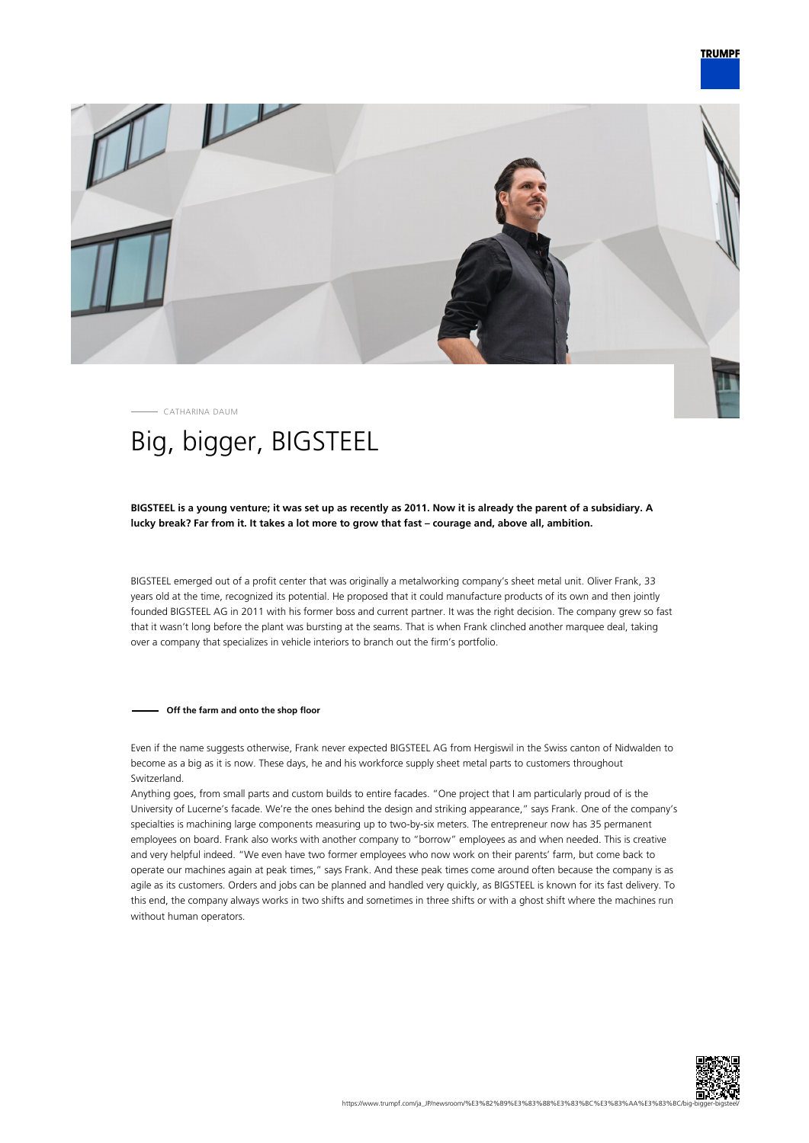

CATHARINA DAUM

# Big, bigger, BIGSTEEL

# **BIGSTEEL is a young venture; it was set up as recently as 2011. Now it is already the parent of a subsidiary. A lucky break? Far from it. It takes a lot more to grow that fast – courage and, above all, ambition.**

BIGSTEEL emerged out of a profit center that was originally a metalworking company's sheet metal unit. Oliver Frank, 33 years old at the time, recognized its potential. He proposed that it could manufacture products of its own and then jointly founded BIGSTEEL AG in 2011 with his former boss and current partner. It was the right decision. The company grew so fast that it wasn't long before the plant was bursting at the seams. That is when Frank clinched another marquee deal, taking over a company that specializes in vehicle interiors to branch out the firm's portfolio.

## **Off the farm and onto the shop floor**

Even if the name suggests otherwise, Frank never expected BIGSTEEL AG from Hergiswil in the Swiss canton of Nidwalden to become as a big as it is now. These days, he and his workforce supply sheet metal parts to customers throughout Switzerland.

Anything goes, from small parts and custom builds to entire facades. "One project that I am particularly proud of is the University of Lucerne's facade. We're the ones behind the design and striking appearance," says Frank. One of the company's specialties is machining large components measuring up to two-by-six meters. The entrepreneur now has 35 permanent employees on board. Frank also works with another company to "borrow" employees as and when needed. This is creative and very helpful indeed. "We even have two former employees who now work on their parents' farm, but come back to operate our machines again at peak times," says Frank. And these peak times come around often because the company is as agile as its customers. Orders and jobs can be planned and handled very quickly, as BIGSTEEL is known for its fast delivery. To this end, the company always works in two shifts and sometimes in three shifts or with a ghost shift where the machines run without human operators.